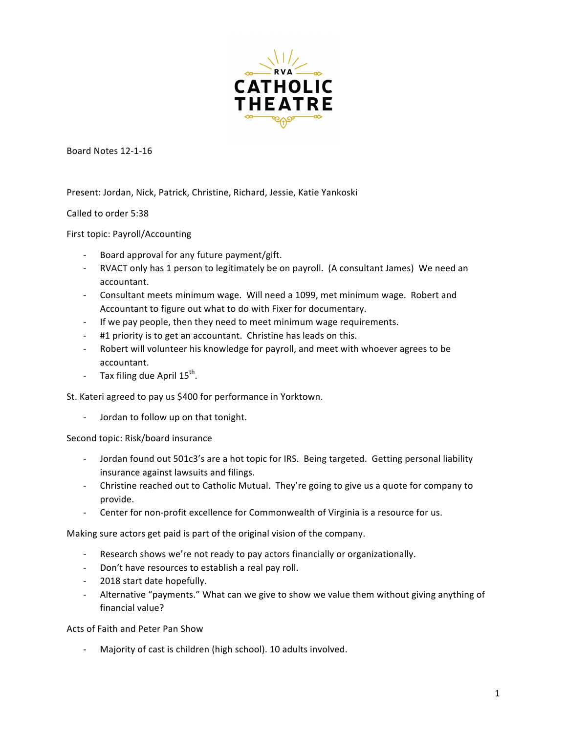

Board Notes 12-1-16

Present: Jordan, Nick, Patrick, Christine, Richard, Jessie, Katie Yankoski

Called to order 5:38

First topic: Payroll/Accounting

- Board approval for any future payment/gift.
- RVACT only has 1 person to legitimately be on payroll. (A consultant James) We need an accountant.
- Consultant meets minimum wage. Will need a 1099, met minimum wage. Robert and Accountant to figure out what to do with Fixer for documentary.
- If we pay people, then they need to meet minimum wage requirements.
- #1 priority is to get an accountant. Christine has leads on this.
- Robert will volunteer his knowledge for payroll, and meet with whoever agrees to be accountant.
- Tax filing due April  $15^{th}$ .

St. Kateri agreed to pay us \$400 for performance in Yorktown.

- Jordan to follow up on that tonight.

Second topic: Risk/board insurance

- Jordan found out 501c3's are a hot topic for IRS. Being targeted. Getting personal liability insurance against lawsuits and filings.
- Christine reached out to Catholic Mutual. They're going to give us a quote for company to provide.
- Center for non-profit excellence for Commonwealth of Virginia is a resource for us.

Making sure actors get paid is part of the original vision of the company.

- Research shows we're not ready to pay actors financially or organizationally.
- Don't have resources to establish a real pay roll.
- 2018 start date hopefully.
- Alternative "payments." What can we give to show we value them without giving anything of financial value?

Acts of Faith and Peter Pan Show

Majority of cast is children (high school). 10 adults involved.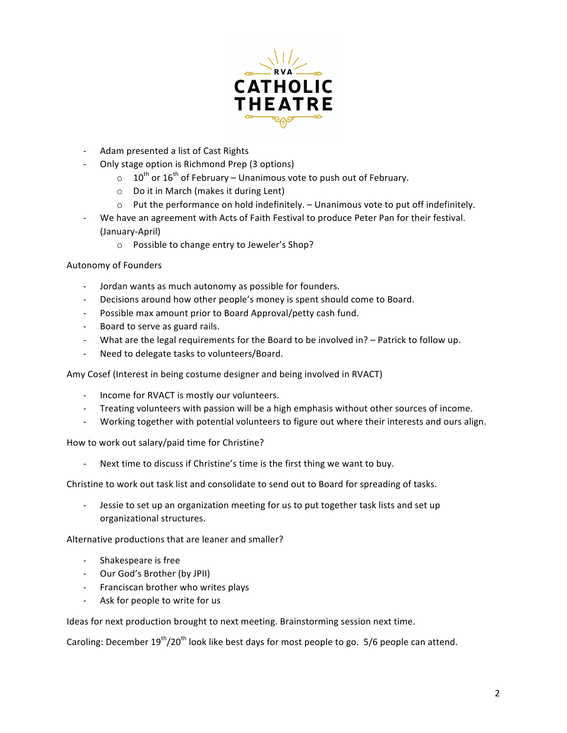

- Adam presented a list of Cast Rights
- Only stage option is Richmond Prep (3 options)
	- $\circ$  10<sup>th</sup> or 16<sup>th</sup> of February Unanimous vote to push out of February.
	- $\circ$  Do it in March (makes it during Lent)
	- $\circ$  Put the performance on hold indefinitely. Unanimous vote to put off indefinitely.
- We have an agreement with Acts of Faith Festival to produce Peter Pan for their festival. (January-April)
	- o Possible to change entry to Jeweler's Shop?

## Autonomy of Founders

- Jordan wants as much autonomy as possible for founders.
- Decisions around how other people's money is spent should come to Board.
- Possible max amount prior to Board Approval/petty cash fund.
- Board to serve as guard rails.
- What are the legal requirements for the Board to be involved in? Patrick to follow up.
- Need to delegate tasks to volunteers/Board.

Amy Cosef (Interest in being costume designer and being involved in RVACT)

- Income for RVACT is mostly our volunteers.
- Treating volunteers with passion will be a high emphasis without other sources of income.
- Working together with potential volunteers to figure out where their interests and ours align.

How to work out salary/paid time for Christine?

Next time to discuss if Christine's time is the first thing we want to buy.

Christine to work out task list and consolidate to send out to Board for spreading of tasks.

Jessie to set up an organization meeting for us to put together task lists and set up organizational structures.

Alternative productions that are leaner and smaller?

- Shakespeare is free
- Our God's Brother (by JPII)
- Franciscan brother who writes plays
- Ask for people to write for us

Ideas for next production brought to next meeting. Brainstorming session next time.

Caroling: December  $19^{th}/20^{th}$  look like best days for most people to go.  $5/6$  people can attend.